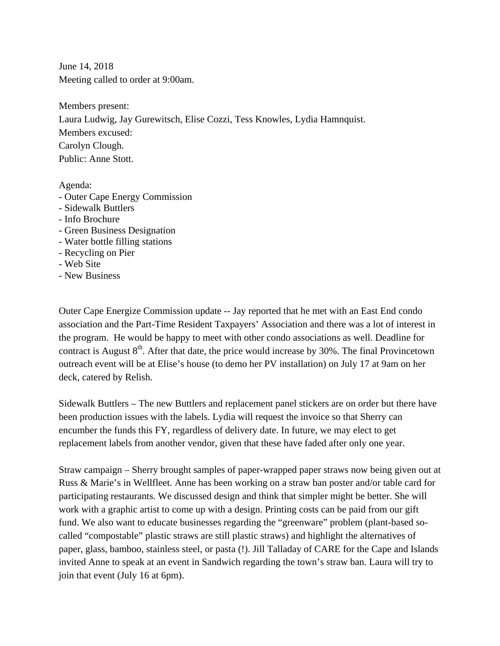June 14, 2018 Meeting called to order at 9:00am.

Members present: Laura Ludwig, Jay Gurewitsch, Elise Cozzi, Tess Knowles, Lydia Hamnquist. Members excused: Carolyn Clough. Public: Anne Stott.

Agenda:

- Outer Cape Energy Commission
- Sidewalk Buttlers
- Info Brochure
- Green Business Designation
- Water bottle filling stations
- Recycling on Pier
- Web Site
- New Business

Outer Cape Energize Commission update -- Jay reported that he met with an East End condo association and the Part-Time Resident Taxpayers' Association and there was a lot of interest in the program. He would be happy to meet with other condo associations as well. Deadline for contract is August  $8<sup>th</sup>$ . After that date, the price would increase by 30%. The final Provincetown outreach event will be at Elise's house (to demo her PV installation) on July 17 at 9am on her deck, catered by Relish.

Sidewalk Buttlers – The new Buttlers and replacement panel stickers are on order but there have been production issues with the labels. Lydia will request the invoice so that Sherry can encumber the funds this FY, regardless of delivery date. In future, we may elect to get replacement labels from another vendor, given that these have faded after only one year.

Straw campaign – Sherry brought samples of paper-wrapped paper straws now being given out at Russ & Marie's in Wellfleet. Anne has been working on a straw ban poster and/or table card for participating restaurants. We discussed design and think that simpler might be better. She will work with a graphic artist to come up with a design. Printing costs can be paid from our gift fund. We also want to educate businesses regarding the "greenware" problem (plant-based socalled "compostable" plastic straws are still plastic straws) and highlight the alternatives of paper, glass, bamboo, stainless steel, or pasta (!). Jill Talladay of CARE for the Cape and Islands invited Anne to speak at an event in Sandwich regarding the town's straw ban. Laura will try to join that event (July 16 at 6pm).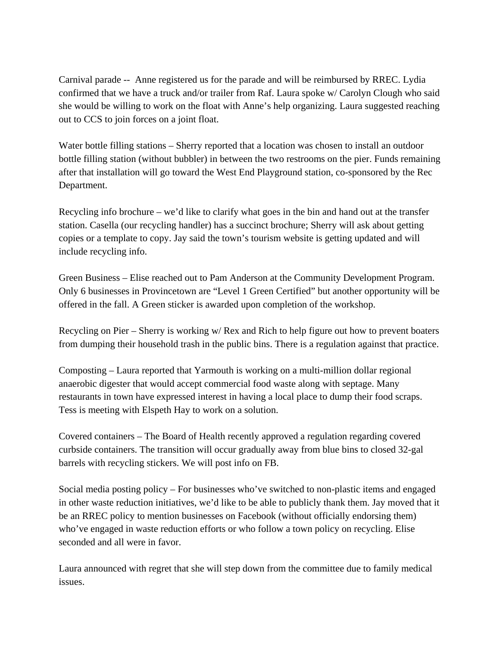Carnival parade -- Anne registered us for the parade and will be reimbursed by RREC. Lydia confirmed that we have a truck and/or trailer from Raf. Laura spoke w/ Carolyn Clough who said she would be willing to work on the float with Anne's help organizing. Laura suggested reaching out to CCS to join forces on a joint float.

Water bottle filling stations – Sherry reported that a location was chosen to install an outdoor bottle filling station (without bubbler) in between the two restrooms on the pier. Funds remaining after that installation will go toward the West End Playground station, co-sponsored by the Rec Department.

Recycling info brochure – we'd like to clarify what goes in the bin and hand out at the transfer station. Casella (our recycling handler) has a succinct brochure; Sherry will ask about getting copies or a template to copy. Jay said the town's tourism website is getting updated and will include recycling info.

Green Business – Elise reached out to Pam Anderson at the Community Development Program. Only 6 businesses in Provincetown are "Level 1 Green Certified" but another opportunity will be offered in the fall. A Green sticker is awarded upon completion of the workshop.

Recycling on Pier – Sherry is working w/ Rex and Rich to help figure out how to prevent boaters from dumping their household trash in the public bins. There is a regulation against that practice.

Composting – Laura reported that Yarmouth is working on a multi-million dollar regional anaerobic digester that would accept commercial food waste along with septage. Many restaurants in town have expressed interest in having a local place to dump their food scraps. Tess is meeting with Elspeth Hay to work on a solution.

Covered containers – The Board of Health recently approved a regulation regarding covered curbside containers. The transition will occur gradually away from blue bins to closed 32-gal barrels with recycling stickers. We will post info on FB.

Social media posting policy – For businesses who've switched to non-plastic items and engaged in other waste reduction initiatives, we'd like to be able to publicly thank them. Jay moved that it be an RREC policy to mention businesses on Facebook (without officially endorsing them) who've engaged in waste reduction efforts or who follow a town policy on recycling. Elise seconded and all were in favor.

Laura announced with regret that she will step down from the committee due to family medical issues.